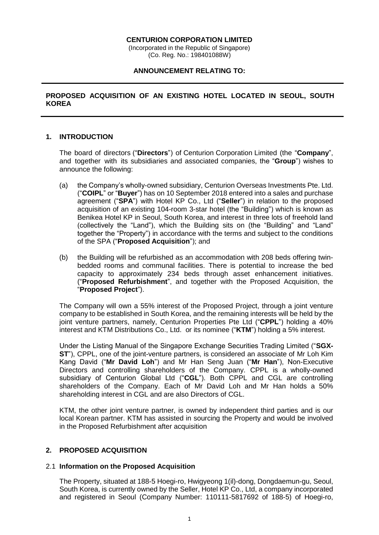#### **CENTURION CORPORATION LIMITED**

(Incorporated in the Republic of Singapore) (Co. Reg. No.: 198401088W)

#### **ANNOUNCEMENT RELATING TO:**

# **PROPOSED ACQUISITION OF AN EXISTING HOTEL LOCATED IN SEOUL, SOUTH KOREA**

# **1. INTRODUCTION**

The board of directors ("**Directors**") of Centurion Corporation Limited (the "**Company**", and together with its subsidiaries and associated companies, the "**Group**") wishes to announce the following:

- (a) the Company's wholly-owned subsidiary, Centurion Overseas Investments Pte. Ltd. ("**COIPL**" or "**Buyer**") has on 10 September 2018 entered into a sales and purchase agreement ("**SPA**") with Hotel KP Co., Ltd ("**Seller**") in relation to the proposed acquisition of an existing 104-room 3-star hotel (the "Building") which is known as Benikea Hotel KP in Seoul, South Korea, and interest in three lots of freehold land (collectively the "Land"), which the Building sits on (the "Building" and "Land" together the "Property") in accordance with the terms and subject to the conditions of the SPA ("**Proposed Acquisition**"); and
- (b) the Building will be refurbished as an accommodation with 208 beds offering twinbedded rooms and communal facilities. There is potential to increase the bed capacity to approximately 234 beds through asset enhancement initiatives. ("**Proposed Refurbishment**", and together with the Proposed Acquisition, the "**Proposed Project**").

The Company will own a 55% interest of the Proposed Project, through a joint venture company to be established in South Korea, and the remaining interests will be held by the joint venture partners, namely, Centurion Properties Pte Ltd ("**CPPL**") holding a 40% interest and KTM Distributions Co., Ltd. or its nominee ("**KTM**") holding a 5% interest.

Under the Listing Manual of the Singapore Exchange Securities Trading Limited ("**SGX-ST**"), CPPL, one of the joint-venture partners, is considered an associate of Mr Loh Kim Kang David ("**Mr David Loh**") and Mr Han Seng Juan ("**Mr Han**"), Non-Executive Directors and controlling shareholders of the Company. CPPL is a wholly-owned subsidiary of Centurion Global Ltd ("**CGL**"). Both CPPL and CGL are controlling shareholders of the Company. Each of Mr David Loh and Mr Han holds a 50% shareholding interest in CGL and are also Directors of CGL.

KTM, the other joint venture partner, is owned by independent third parties and is our local Korean partner. KTM has assisted in sourcing the Property and would be involved in the Proposed Refurbishment after acquisition

### **2. PROPOSED ACQUISITION**

### 2.1 **Information on the Proposed Acquisition**

The Property, situated at 188-5 Hoegi-ro, Hwigyeong 1(il)-dong, Dongdaemun-gu, Seoul, South Korea, is currently owned by the Seller, Hotel KP Co., Ltd, a company incorporated and registered in Seoul (Company Number: 110111-5817692 of 188-5) of Hoegi-ro,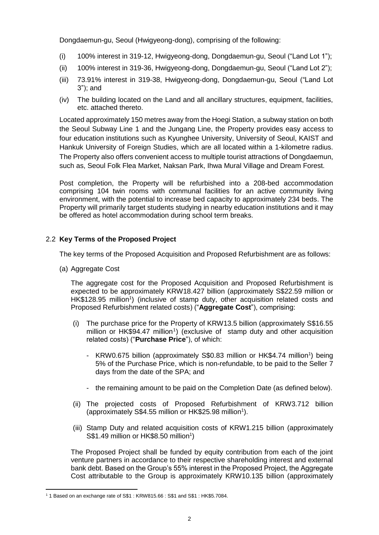Dongdaemun-gu, Seoul (Hwigyeong-dong), comprising of the following:

- (i) 100% interest in 319-12, Hwigyeong-dong, Dongdaemun-gu, Seoul ("Land Lot 1");
- (ii) 100% interest in 319-36, Hwigyeong-dong, Dongdaemun-gu, Seoul ("Land Lot 2");
- (iii) 73.91% interest in 319-38, Hwigyeong-dong, Dongdaemun-gu, Seoul ("Land Lot 3"); and
- (iv) The building located on the Land and all ancillary structures, equipment, facilities, etc. attached thereto.

Located approximately 150 metres away from the Hoegi Station, a subway station on both the Seoul Subway Line 1 and the Jungang Line, the Property provides easy access to four education institutions such as Kyunghee University, University of Seoul, KAIST and Hankuk University of Foreign Studies, which are all located within a 1-kilometre radius. The Property also offers convenient access to multiple tourist attractions of Dongdaemun, such as, Seoul Folk Flea Market, Naksan Park, Ihwa Mural Village and Dream Forest.

Post completion, the Property will be refurbished into a 208-bed accommodation comprising 104 twin rooms with communal facilities for an active community living environment, with the potential to increase bed capacity to approximately 234 beds. The Property will primarily target students studying in nearby education institutions and it may be offered as hotel accommodation during school term breaks.

# 2.2 **Key Terms of the Proposed Project**

The key terms of the Proposed Acquisition and Proposed Refurbishment are as follows:

(a) Aggregate Cost

<u>.</u>

The aggregate cost for the Proposed Acquisition and Proposed Refurbishment is expected to be approximately KRW18.427 billion (approximately S\$22.59 million or HK\$128.95 million<sup>1</sup>) (inclusive of stamp duty, other acquisition related costs and Proposed Refurbishment related costs) ("**Aggregate Cost**"), comprising:

- (i) The purchase price for the Property of KRW13.5 billion (approximately S\$16.55 million or HK\$94.47 million<sup>1</sup>) (exclusive of stamp duty and other acquisition related costs) ("**Purchase Price**"), of which:
	- KRW0.675 billion (approximately S\$0.83 million or HK\$4.74 million<sup>1</sup>) being 5% of the Purchase Price, which is non-refundable, to be paid to the Seller 7 days from the date of the SPA; and
	- the remaining amount to be paid on the Completion Date (as defined below).
- (ii) The projected costs of Proposed Refurbishment of KRW3.712 billion (approximately S\$4.55 million or HK\$25.98 million<sup>1</sup>).
- (iii) Stamp Duty and related acquisition costs of KRW1.215 billion (approximately S\$1.49 million or HK\$8.50 million<sup>1</sup>)

The Proposed Project shall be funded by equity contribution from each of the joint venture partners in accordance to their respective shareholding interest and external bank debt. Based on the Group's 55% interest in the Proposed Project, the Aggregate Cost attributable to the Group is approximately KRW10.135 billion (approximately

<sup>&</sup>lt;sup>1</sup> 1 Based on an exchange rate of S\$1 : KRW815.66 : S\$1 and S\$1 : HK\$5.7084.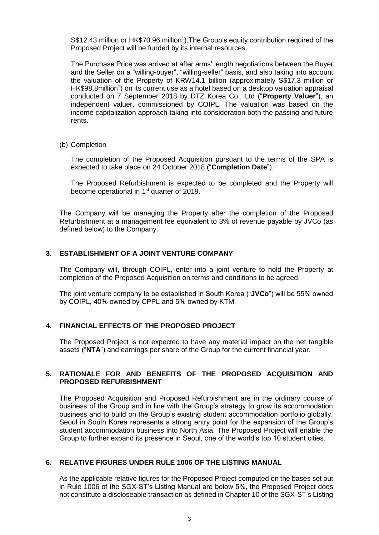S\$12.43 million or HK\$70.96 million<sup>1</sup>). The Group's equity contribution required of the Proposed Project will be funded by its internal resources.

The Purchase Price was arrived at after arms' length negotiations between the Buyer and the Seller on a "willing-buyer", "willing-seller" basis, and also taking into account the valuation of the Property of KRW14.1 billion (approximately S\$17.3 million or HK\$98.8million<sup>1</sup>) on its current use as a hotel based on a desktop valuation appraisal conducted on 7 September 2018 by DTZ Korea Co., Ltd ("**Property Valuer**"), an independent valuer, commissioned by COIPL. The valuation was based on the income capitalization approach taking into consideration both the passing and future rents.

(b) Completion

The completion of the Proposed Acquisition pursuant to the terms of the SPA is expected to take place on 24 October 2018 ("**Completion Date**").

The Proposed Refurbishment is expected to be completed and the Property will become operational in 1<sup>st</sup> quarter of 2019.

The Company will be managing the Property after the completion of the Proposed Refurbishment at a management fee equivalent to 3% of revenue payable by JVCo (as defined below) to the Company.

## **3. ESTABLISHMENT OF A JOINT VENTURE COMPANY**

The Company will, through COIPL, enter into a joint venture to hold the Property at completion of the Proposed Acquisition on terms and conditions to be agreed.

The joint venture company to be established in South Korea ("**JVCo**") will be 55% owned by COIPL, 40% owned by CPPL and 5% owned by KTM.

## **4. FINANCIAL EFFECTS OF THE PROPOSED PROJECT**

The Proposed Project is not expected to have any material impact on the net tangible assets ("**NTA**") and earnings per share of the Group for the current financial year.

# **5. RATIONALE FOR AND BENEFITS OF THE PROPOSED ACQUISITION AND PROPOSED REFURBISHMENT**

The Proposed Acquisition and Proposed Refurbishment are in the ordinary course of business of the Group and in line with the Group's strategy to grow its accommodation business and to build on the Group's existing student accommodation portfolio globally. Seoul in South Korea represents a strong entry point for the expansion of the Group's student accommodation business into North Asia. The Proposed Project will enable the Group to further expand its presence in Seoul, one of the world's top 10 student cities.

# **6. RELATIVE FIGURES UNDER RULE 1006 OF THE LISTING MANUAL**

As the applicable relative figures for the Proposed Project computed on the bases set out in Rule 1006 of the SGX-ST's Listing Manual are below 5%, the Proposed Project does not constitute a discloseable transaction as defined in Chapter 10 of the SGX-ST's Listing